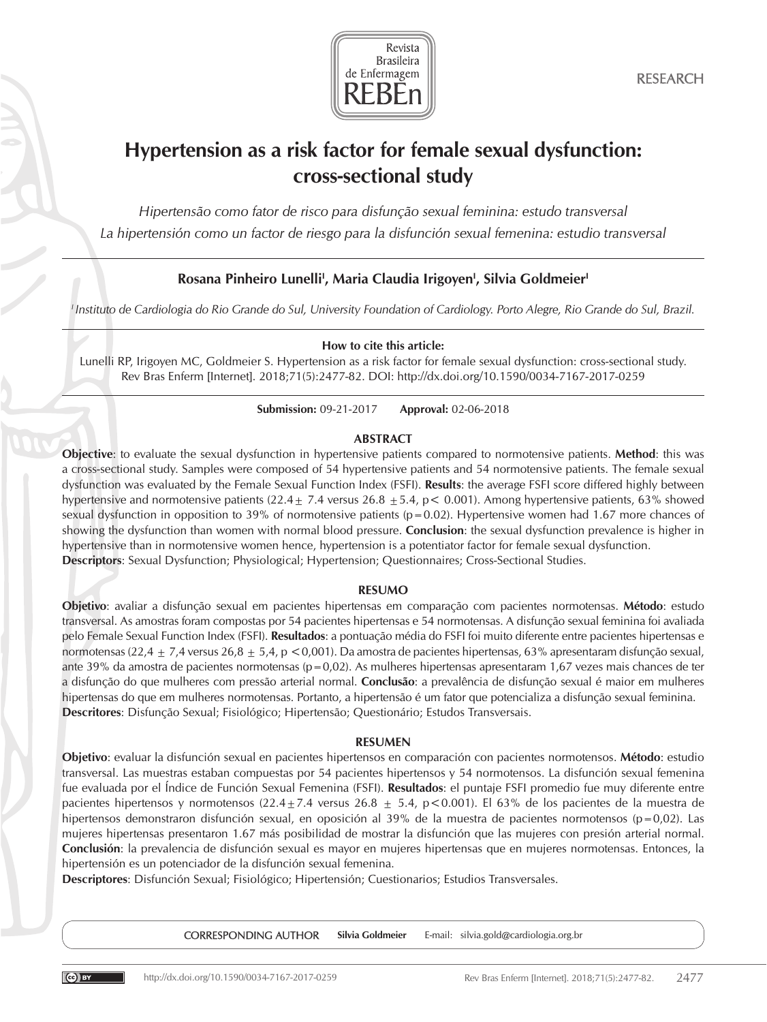

# Hypertension as a risk factor for female sexual dysfunction: cross-sectional study

*Hipertensão como fator de risco para disfunção sexual feminina: estudo transversal La hipertensión como un factor de riesgo para la disfunción sexual femenina: estudio transversal*

# Rosana Pinheiro Lunelli<sup>i</sup>, Maria Claudia Irigoyen<sup>i</sup>, Silvia Goldmeier<sup>i</sup>

*I Instituto de Cardiologia do Rio Grande do Sul, University Foundation of Cardiology. Porto Alegre, Rio Grande do Sul, Brazil.*

# How to cite this article:

Lunelli RP, Irigoyen MC, Goldmeier S. Hypertension as a risk factor for female sexual dysfunction: cross-sectional study. Rev Bras Enferm [Internet]. 2018;71(5):2477-82. DOI: http://dx.doi.org/10.1590/0034-7167-2017-0259

Submission: 09-21-2017 Approval: 02-06-2018

# ABSTRACT

Objective: to evaluate the sexual dysfunction in hypertensive patients compared to normotensive patients. Method: this was a cross-sectional study. Samples were composed of 54 hypertensive patients and 54 normotensive patients. The female sexual dysfunction was evaluated by the Female Sexual Function Index (FSFI). Results: the average FSFI score differed highly between hypertensive and normotensive patients (22.4  $\pm$  7.4 versus 26.8  $\pm$  5.4, p < 0.001). Among hypertensive patients, 63% showed sexual dysfunction in opposition to 39% of normotensive patients (p=0.02). Hypertensive women had 1.67 more chances of showing the dysfunction than women with normal blood pressure. **Conclusion**: the sexual dysfunction prevalence is higher in hypertensive than in normotensive women hence, hypertension is a potentiator factor for female sexual dysfunction. Descriptors: Sexual Dysfunction; Physiological; Hypertension; Questionnaires; Cross-Sectional Studies.

# RESUMO

Objetivo: avaliar a disfunção sexual em pacientes hipertensas em comparação com pacientes normotensas. Método: estudo transversal. As amostras foram compostas por 54 pacientes hipertensas e 54 normotensas. A disfunção sexual feminina foi avaliada pelo Female Sexual Function Index (FSFI). Resultados: a pontuação média do FSFI foi muito diferente entre pacientes hipertensas e normotensas (22,4  $\pm$  7,4 versus 26,8  $\pm$  5,4, p < 0,001). Da amostra de pacientes hipertensas, 63% apresentaram disfunção sexual, ante 39% da amostra de pacientes normotensas ( $p=0.02$ ). As mulheres hipertensas apresentaram 1,67 vezes mais chances de ter a disfunção do que mulheres com pressão arterial normal. Conclusão: a prevalência de disfunção sexual é maior em mulheres hipertensas do que em mulheres normotensas. Portanto, a hipertensão é um fator que potencializa a disfunção sexual feminina. Descritores: Disfunção Sexual; Fisiológico; Hipertensão; Questionário; Estudos Transversais.

# RESUMEN

Objetivo: evaluar la disfunción sexual en pacientes hipertensos en comparación con pacientes normotensos. Método: estudio transversal. Las muestras estaban compuestas por 54 pacientes hipertensos y 54 normotensos. La disfunción sexual femenina fue evaluada por el Índice de Función Sexual Femenina (FSFI). Resultados: el puntaje FSFI promedio fue muy diferente entre pacientes hipertensos y normotensos (22.4 $\pm$ 7.4 versus 26.8  $\pm$  5.4, p < 0.001). El 63% de los pacientes de la muestra de hipertensos demonstraron disfunción sexual, en oposición al 39% de la muestra de pacientes normotensos (p=0,02). Las mujeres hipertensas presentaron 1.67 más posibilidad de mostrar la disfunción que las mujeres con presión arterial normal. Conclusión: la prevalencia de disfunción sexual es mayor en mujeres hipertensas que en mujeres normotensas. Entonces, la hipertensión es un potenciador de la disfunción sexual femenina.

Descriptores: Disfunción Sexual; Fisiológico; Hipertensión; Cuestionarios; Estudios Transversales.

CORRESPONDING AUTHOR Silvia Goldmeier E-mail: silvia.gold@cardiologia.org.br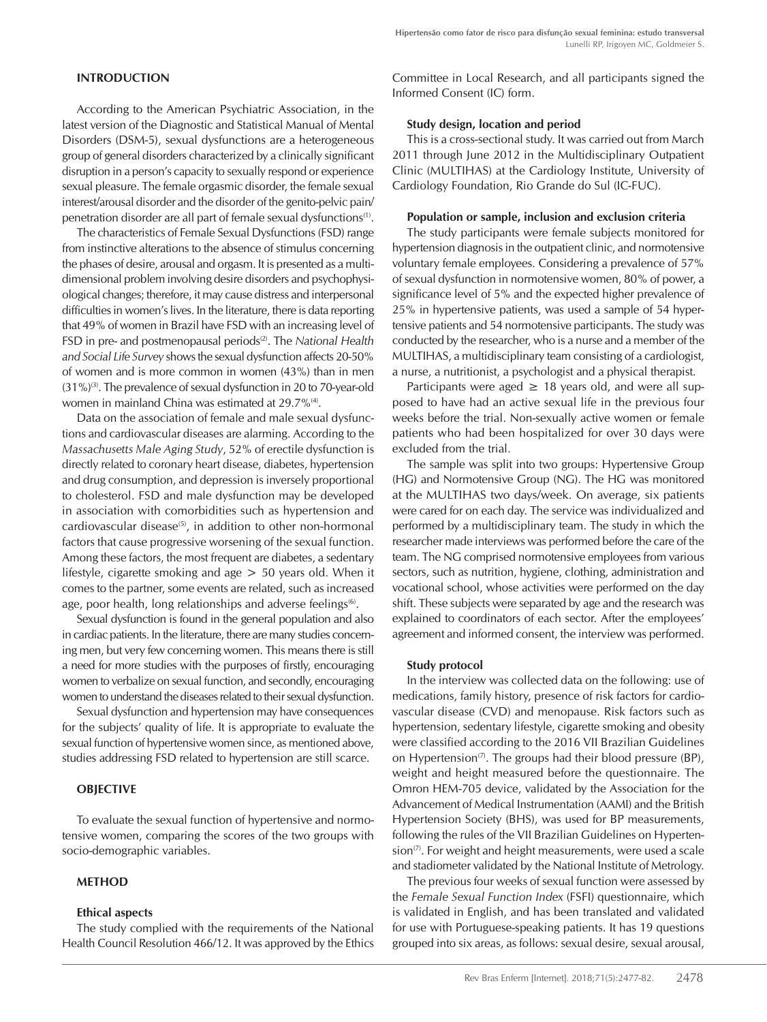# INTRODUCTION

According to the American Psychiatric Association, in the latest version of the Diagnostic and Statistical Manual of Mental Disorders (DSM-5), sexual dysfunctions are a heterogeneous group of general disorders characterized by a clinically significant disruption in a person's capacity to sexually respond or experience sexual pleasure. The female orgasmic disorder, the female sexual interest/arousal disorder and the disorder of the genito-pelvic pain/ penetration disorder are all part of female sexual dysfunctions(1).

The characteristics of Female Sexual Dysfunctions (FSD) range from instinctive alterations to the absence of stimulus concerning the phases of desire, arousal and orgasm. It is presented as a multidimensional problem involving desire disorders and psychophysiological changes; therefore, it may cause distress and interpersonal difficulties in women's lives. In the literature, there is data reporting that 49% of women in Brazil have FSD with an increasing level of FSD in pre- and postmenopausal periods(2). The *National Health and Social Life Survey* shows the sexual dysfunction affects 20-50% of women and is more common in women (43%) than in men (31%)(3). The prevalence of sexual dysfunction in 20 to 70-year-old women in mainland China was estimated at 29.7%<sup>(4)</sup>.

Data on the association of female and male sexual dysfunctions and cardiovascular diseases are alarming. According to the *Massachusetts Male Aging Study*, 52% of erectile dysfunction is directly related to coronary heart disease, diabetes, hypertension and drug consumption, and depression is inversely proportional to cholesterol. FSD and male dysfunction may be developed in association with comorbidities such as hypertension and cardiovascular disease<sup>(5)</sup>, in addition to other non-hormonal factors that cause progressive worsening of the sexual function. Among these factors, the most frequent are diabetes, a sedentary lifestyle, cigarette smoking and age > 50 years old. When it comes to the partner, some events are related, such as increased age, poor health, long relationships and adverse feelings<sup>(6)</sup>.

Sexual dysfunction is found in the general population and also in cardiac patients. In the literature, there are many studies concerning men, but very few concerning women. This means there is still a need for more studies with the purposes of firstly, encouraging women to verbalize on sexual function, and secondly, encouraging women to understand the diseases related to their sexual dysfunction.

Sexual dysfunction and hypertension may have consequences for the subjects' quality of life. It is appropriate to evaluate the sexual function of hypertensive women since, as mentioned above, studies addressing FSD related to hypertension are still scarce.

# **OBJECTIVE**

To evaluate the sexual function of hypertensive and normotensive women, comparing the scores of the two groups with socio-demographic variables.

# **METHOD**

#### Ethical aspects

The study complied with the requirements of the National Health Council Resolution 466/12. It was approved by the Ethics Committee in Local Research, and all participants signed the Informed Consent (IC) form.

#### Study design, location and period

This is a cross-sectional study. It was carried out from March 2011 through June 2012 in the Multidisciplinary Outpatient Clinic (MULTIHAS) at the Cardiology Institute, University of Cardiology Foundation, Rio Grande do Sul (IC-FUC).

#### Population or sample, inclusion and exclusion criteria

The study participants were female subjects monitored for hypertension diagnosis in the outpatient clinic, and normotensive voluntary female employees. Considering a prevalence of 57% of sexual dysfunction in normotensive women, 80% of power, a significance level of 5% and the expected higher prevalence of 25% in hypertensive patients, was used a sample of 54 hypertensive patients and 54 normotensive participants. The study was conducted by the researcher, who is a nurse and a member of the MULTIHAS, a multidisciplinary team consisting of a cardiologist, a nurse, a nutritionist, a psychologist and a physical therapist.

Participants were aged  $\geq$  18 years old, and were all supposed to have had an active sexual life in the previous four weeks before the trial. Non-sexually active women or female patients who had been hospitalized for over 30 days were excluded from the trial.

The sample was split into two groups: Hypertensive Group (HG) and Normotensive Group (NG). The HG was monitored at the MULTIHAS two days/week. On average, six patients were cared for on each day. The service was individualized and performed by a multidisciplinary team. The study in which the researcher made interviews was performed before the care of the team. The NG comprised normotensive employees from various sectors, such as nutrition, hygiene, clothing, administration and vocational school, whose activities were performed on the day shift. These subjects were separated by age and the research was explained to coordinators of each sector. After the employees' agreement and informed consent, the interview was performed.

#### Study protocol

In the interview was collected data on the following: use of medications, family history, presence of risk factors for cardiovascular disease (CVD) and menopause. Risk factors such as hypertension, sedentary lifestyle, cigarette smoking and obesity were classified according to the 2016 VII Brazilian Guidelines on Hypertension<sup> $(7)$ </sup>. The groups had their blood pressure (BP), weight and height measured before the questionnaire. The Omron HEM-705 device, validated by the Association for the Advancement of Medical Instrumentation (AAMI) and the British Hypertension Society (BHS), was used for BP measurements, following the rules of the VII Brazilian Guidelines on Hyperten $sion^{(7)}$ . For weight and height measurements, were used a scale and stadiometer validated by the National Institute of Metrology.

The previous four weeks of sexual function were assessed by the *Female Sexual Function Index* (FSFI) questionnaire, which is validated in English, and has been translated and validated for use with Portuguese-speaking patients. It has 19 questions grouped into six areas, as follows: sexual desire, sexual arousal,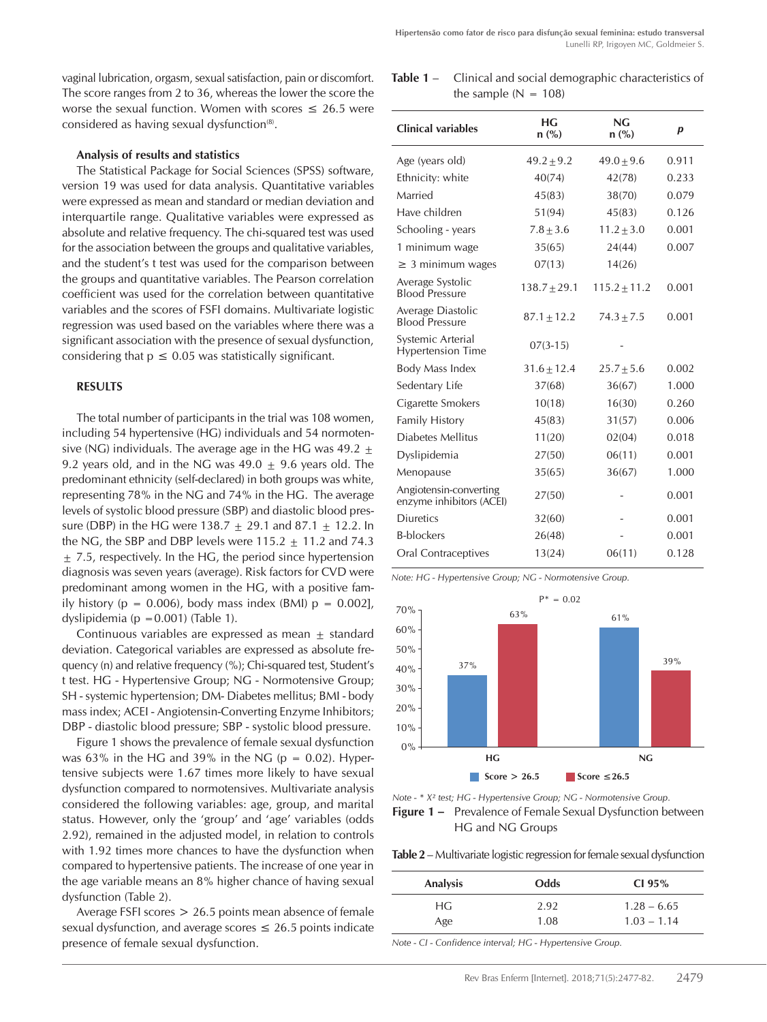vaginal lubrication, orgasm, sexual satisfaction, pain or discomfort. The score ranges from 2 to 36, whereas the lower the score the worse the sexual function. Women with scores  $\leq 26.5$  were considered as having sexual dysfunction<sup>(8)</sup>.

#### Analysis of results and statistics

The Statistical Package for Social Sciences (SPSS) software, version 19 was used for data analysis. Quantitative variables were expressed as mean and standard or median deviation and interquartile range. Qualitative variables were expressed as absolute and relative frequency. The chi-squared test was used for the association between the groups and qualitative variables, and the student's t test was used for the comparison between the groups and quantitative variables. The Pearson correlation coefficient was used for the correlation between quantitative variables and the scores of FSFI domains. Multivariate logistic regression was used based on the variables where there was a significant association with the presence of sexual dysfunction, considering that  $p \le 0.05$  was statistically significant.

### RESULTS

The total number of participants in the trial was 108 women, including 54 hypertensive (HG) individuals and 54 normotensive (NG) individuals. The average age in the HG was 49.2  $\pm$ 9.2 years old, and in the NG was  $49.0 \pm 9.6$  years old. The predominant ethnicity (self-declared) in both groups was white, representing 78% in the NG and 74% in the HG. The average levels of systolic blood pressure (SBP) and diastolic blood pressure (DBP) in the HG were 138.7  $\pm$  29.1 and 87.1  $\pm$  12.2. In the NG, the SBP and DBP levels were  $115.2 + 11.2$  and  $74.3$  $\pm$  7.5, respectively. In the HG, the period since hypertension diagnosis was seven years (average). Risk factors for CVD were predominant among women in the HG, with a positive family history ( $p = 0.006$ ), body mass index (BMI)  $p = 0.002$ ], dyslipidemia (p =  $0.001$ ) (Table 1).

Continuous variables are expressed as mean + standard deviation. Categorical variables are expressed as absolute frequency (n) and relative frequency (%); Chi-squared test, Student's t test. HG - Hypertensive Group; NG - Normotensive Group; SH - systemic hypertension; DM- Diabetes mellitus; BMI - body mass index; ACEI - Angiotensin-Converting Enzyme Inhibitors; DBP - diastolic blood pressure; SBP - systolic blood pressure.

Figure 1 shows the prevalence of female sexual dysfunction was 63% in the HG and 39% in the NG ( $p = 0.02$ ). Hypertensive subjects were 1.67 times more likely to have sexual dysfunction compared to normotensives. Multivariate analysis considered the following variables: age, group, and marital status. However, only the 'group' and 'age' variables (odds 2.92), remained in the adjusted model, in relation to controls with 1.92 times more chances to have the dysfunction when compared to hypertensive patients. The increase of one year in the age variable means an 8% higher chance of having sexual dysfunction (Table 2).

Average FSFI scores > 26.5 points mean absence of female sexual dysfunction, and average scores  $\leq 26.5$  points indicate presence of female sexual dysfunction.

Table 1 – Clinical and social demographic characteristics of the sample  $(N = 108)$ 

| <b>Clinical variables</b>                          | НG<br>$n$ (%)   | NG<br>$n$ (%)    | $\boldsymbol{p}$ |
|----------------------------------------------------|-----------------|------------------|------------------|
| Age (years old)                                    | $49.2 \pm 9.2$  | $49.0 \pm 9.6$   | 0.911            |
| Ethnicity: white                                   | 40(74)          | 42(78)           | 0.233            |
| Married                                            | 45(83)          | 38(70)           | 0.079            |
| Have children                                      | 51(94)          | 45(83)           | 0.126            |
| Schooling - years                                  | $7.8 + 3.6$     | $11.2 + 3.0$     | 0.001            |
| 1 minimum wage                                     | 35(65)          | 24(44)           | 0.007            |
| $\geq$ 3 minimum wages                             | 07(13)          | 14(26)           |                  |
| Average Systolic<br><b>Blood Pressure</b>          | $138.7 + 29.1$  | $115.2 \pm 11.2$ | 0.001            |
| Average Diastolic<br><b>Blood Pressure</b>         | $87.1 + 12.2$   | $74.3 + 7.5$     | 0.001            |
| Systemic Arterial<br><b>Hypertension Time</b>      | $07(3-15)$      |                  |                  |
| Body Mass Index                                    | $31.6 \pm 12.4$ | $25.7 \pm 5.6$   | 0.002            |
| Sedentary Life                                     | 37(68)          | 36(67)           | 1.000            |
| Cigarette Smokers                                  | 10(18)          | 16(30)           | 0.260            |
| <b>Family History</b>                              | 45(83)          | 31(57)           | 0.006            |
| Diabetes Mellitus                                  | 11(20)          | 02(04)           | 0.018            |
| Dyslipidemia                                       | 27(50)          | 06(11)           | 0.001            |
| Menopause                                          | 35(65)          | 36(67)           | 1.000            |
| Angiotensin-converting<br>enzyme inhibitors (ACEI) | 27(50)          |                  | 0.001            |
| <b>Diuretics</b>                                   | 32(60)          |                  | 0.001            |
| <b>B-blockers</b>                                  | 26(48)          |                  | 0.001            |
| Oral Contraceptives                                | 13(24)          | 06(11)           | 0.128            |

*Note: HG - Hypertensive Group; NG - Normotensive Group.*



*Note - \* X² test; HG - Hypertensive Group; NG - Normotensive Group.* Figure 1 – Prevalence of Female Sexual Dysfunction between HG and NG Groups

Table 2 – Multivariate logistic regression for female sexual dysfunction

| <b>Analysis</b> | Odds | CI 95%        |
|-----------------|------|---------------|
| НG              | 2.92 | $1.28 - 6.65$ |
| Age             | 1.08 | $1.03 - 1.14$ |

*Note - CI - Confidence interval; HG - Hypertensive Group.*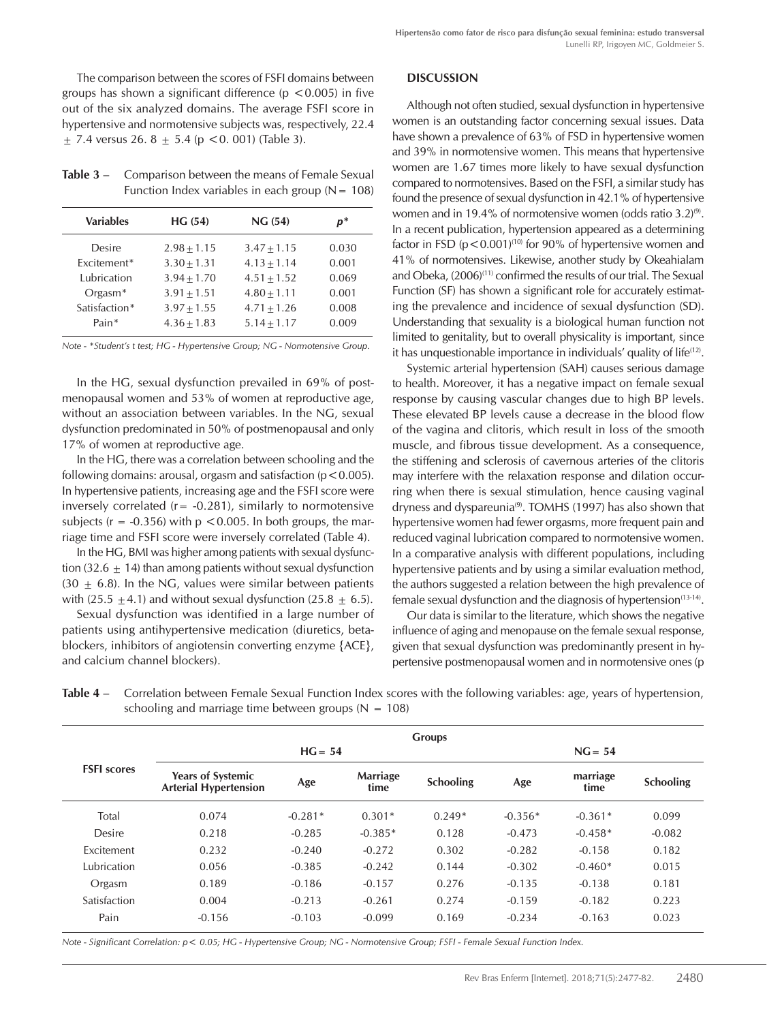The comparison between the scores of FSFI domains between groups has shown a significant difference ( $p < 0.005$ ) in five out of the six analyzed domains. The average FSFI score in hypertensive and normotensive subjects was, respectively, 22.4  $\pm$  7.4 versus 26. 8  $\pm$  5.4 (p < 0. 001) (Table 3).

Table 3 – Comparison between the means of Female Sexual Function Index variables in each group  $(N = 108)$ 

| <b>Variables</b> | HG(54)        | NG(54)        | $p^*$ |
|------------------|---------------|---------------|-------|
| Desire           | $2.98 + 1.15$ | $3.47 + 1.15$ | 0.030 |
| Excitement*      | $3.30 + 1.31$ | $4.13 + 1.14$ | 0.001 |
| Lubrication      | $3.94 + 1.70$ | $4.51 + 1.52$ | 0.069 |
| $Organ*$         | $3.91 + 1.51$ | $4.80 + 1.11$ | 0.001 |
| Satisfaction*    | $3.97 + 1.55$ | $4.71 + 1.26$ | 0.008 |
| Pain*            | $4.36 + 1.83$ | $5.14 + 1.17$ | 0.009 |
|                  |               |               |       |

*Note - \*Student's t test; HG - Hypertensive Group; NG - Normotensive Group.*

In the HG, sexual dysfunction prevailed in 69% of postmenopausal women and 53% of women at reproductive age, without an association between variables. In the NG, sexual dysfunction predominated in 50% of postmenopausal and only 17% of women at reproductive age.

In the HG, there was a correlation between schooling and the following domains: arousal, orgasm and satisfaction ( $p < 0.005$ ). In hypertensive patients, increasing age and the FSFI score were inversely correlated ( $r = -0.281$ ), similarly to normotensive subjects ( $r = -0.356$ ) with  $p < 0.005$ . In both groups, the marriage time and FSFI score were inversely correlated (Table 4).

In the HG, BMI was higher among patients with sexual dysfunction (32.6  $\pm$  14) than among patients without sexual dysfunction (30  $\pm$  6.8). In the NG, values were similar between patients with (25.5  $\pm$ 4.1) and without sexual dysfunction (25.8  $\pm$  6.5).

Sexual dysfunction was identified in a large number of patients using antihypertensive medication (diuretics, betablockers, inhibitors of angiotensin converting enzyme {ACE}, and calcium channel blockers).

#### **DISCUSSION**

Although not often studied, sexual dysfunction in hypertensive women is an outstanding factor concerning sexual issues. Data have shown a prevalence of 63% of FSD in hypertensive women and 39% in normotensive women. This means that hypertensive women are 1.67 times more likely to have sexual dysfunction compared to normotensives. Based on the FSFI, a similar study has found the presence of sexual dysfunction in 42.1% of hypertensive women and in 19.4% of normotensive women (odds ratio  $3.2$ )<sup>(9)</sup>. In a recent publication, hypertension appeared as a determining factor in FSD ( $p < 0.001$ )<sup>(10)</sup> for 90% of hypertensive women and 41% of normotensives. Likewise, another study by Okeahialam and Obeka, (2006)<sup>(11)</sup> confirmed the results of our trial. The Sexual Function (SF) has shown a significant role for accurately estimating the prevalence and incidence of sexual dysfunction (SD). Understanding that sexuality is a biological human function not limited to genitality, but to overall physicality is important, since it has unquestionable importance in individuals' quality of life(12).

Systemic arterial hypertension (SAH) causes serious damage to health. Moreover, it has a negative impact on female sexual response by causing vascular changes due to high BP levels. These elevated BP levels cause a decrease in the blood flow of the vagina and clitoris, which result in loss of the smooth muscle, and fibrous tissue development. As a consequence, the stiffening and sclerosis of cavernous arteries of the clitoris may interfere with the relaxation response and dilation occurring when there is sexual stimulation, hence causing vaginal dryness and dyspareunia<sup>(9)</sup>. TOMHS (1997) has also shown that hypertensive women had fewer orgasms, more frequent pain and reduced vaginal lubrication compared to normotensive women. In a comparative analysis with different populations, including hypertensive patients and by using a similar evaluation method, the authors suggested a relation between the high prevalence of female sexual dysfunction and the diagnosis of hypertension $(13-14)$ .

Our data is similar to the literature, which shows the negative influence of aging and menopause on the female sexual response, given that sexual dysfunction was predominantly present in hypertensive postmenopausal women and in normotensive ones (p

| Table 4 – Correlation between Female Sexual Function Index scores with the following variables: age, years of hypertension, |
|-----------------------------------------------------------------------------------------------------------------------------|
| schooling and marriage time between groups ( $N = 108$ )                                                                    |

|                    | <b>Groups</b>                                            |           |                         |                  |           |                  |                  |
|--------------------|----------------------------------------------------------|-----------|-------------------------|------------------|-----------|------------------|------------------|
|                    | $HG = 54$                                                |           |                         | $NG = 54$        |           |                  |                  |
| <b>FSFI</b> scores | <b>Years of Systemic</b><br><b>Arterial Hypertension</b> | Age       | <b>Marriage</b><br>time | <b>Schooling</b> | Age       | marriage<br>time | <b>Schooling</b> |
| Total              | 0.074                                                    | $-0.281*$ | $0.301*$                | $0.249*$         | $-0.356*$ | $-0.361*$        | 0.099            |
| Desire             | 0.218                                                    | $-0.285$  | $-0.385*$               | 0.128            | $-0.473$  | $-0.458*$        | $-0.082$         |
| Excitement         | 0.232                                                    | $-0.240$  | $-0.272$                | 0.302            | $-0.282$  | $-0.158$         | 0.182            |
| Lubrication        | 0.056                                                    | $-0.385$  | $-0.242$                | 0.144            | $-0.302$  | $-0.460*$        | 0.015            |
| Orgasm             | 0.189                                                    | $-0.186$  | $-0.157$                | 0.276            | $-0.135$  | $-0.138$         | 0.181            |
| Satisfaction       | 0.004                                                    | $-0.213$  | $-0.261$                | 0.274            | $-0.159$  | $-0.182$         | 0.223            |
| Pain               | $-0.156$                                                 | $-0.103$  | $-0.099$                | 0.169            | $-0.234$  | $-0.163$         | 0.023            |

*Note - Significant Correlation: p< 0.05; HG - Hypertensive Group; NG - Normotensive Group; FSFI - Female Sexual Function Index.*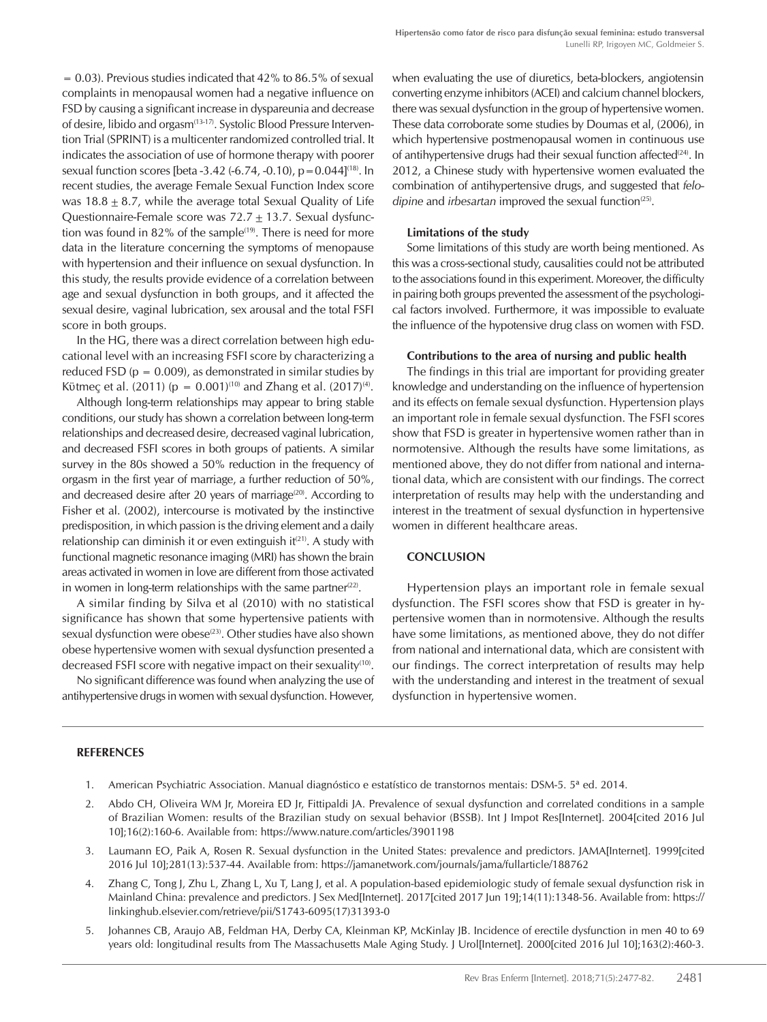$= 0.03$ ). Previous studies indicated that 42% to 86.5% of sexual complaints in menopausal women had a negative influence on FSD by causing a significant increase in dyspareunia and decrease of desire, libido and orgasm<sup>(13-17)</sup>. Systolic Blood Pressure Intervention Trial (SPRINT) is a multicenter randomized controlled trial. It indicates the association of use of hormone therapy with poorer sexual function scores [beta  $-3.42$   $(-6.74, -0.10)$ ,  $p = 0.044$ ]<sup>(18)</sup>. In recent studies, the average Female Sexual Function Index score was  $18.8 \pm 8.7$ , while the average total Sexual Quality of Life Questionnaire-Female score was  $72.7 \pm 13.7$ . Sexual dysfunction was found in 82% of the sample<sup> $(19)$ </sup>. There is need for more data in the literature concerning the symptoms of menopause with hypertension and their influence on sexual dysfunction. In this study, the results provide evidence of a correlation between age and sexual dysfunction in both groups, and it affected the sexual desire, vaginal lubrication, sex arousal and the total FSFI score in both groups.

In the HG, there was a direct correlation between high educational level with an increasing FSFI score by characterizing a reduced FSD ( $p = 0.009$ ), as demonstrated in similar studies by Kütmec et al. (2011) ( $p = 0.001$ )<sup>(10)</sup> and Zhang et al. (2017)<sup>(4)</sup>.

Although long-term relationships may appear to bring stable conditions, our study has shown a correlation between long-term relationships and decreased desire, decreased vaginal lubrication, and decreased FSFI scores in both groups of patients. A similar survey in the 80s showed a 50% reduction in the frequency of orgasm in the first year of marriage, a further reduction of 50%, and decreased desire after 20 years of marriage<sup>(20)</sup>. According to Fisher et al. (2002), intercourse is motivated by the instinctive predisposition, in which passion is the driving element and a daily relationship can diminish it or even extinguish  $it(21)$ . A study with functional magnetic resonance imaging (MRI) has shown the brain areas activated in women in love are different from those activated in women in long-term relationships with the same partner $(22)$ .

A similar finding by Silva et al (2010) with no statistical significance has shown that some hypertensive patients with sexual dysfunction were obese<sup>(23)</sup>. Other studies have also shown obese hypertensive women with sexual dysfunction presented a decreased FSFI score with negative impact on their sexuality<sup>(10)</sup>.

No significant difference was found when analyzing the use of antihypertensive drugs in women with sexual dysfunction. However, when evaluating the use of diuretics, beta-blockers, angiotensin converting enzyme inhibitors (ACEI) and calcium channel blockers, there was sexual dysfunction in the group of hypertensive women. These data corroborate some studies by Doumas et al, (2006), in which hypertensive postmenopausal women in continuous use of antihypertensive drugs had their sexual function affected<sup>(24)</sup>. In 2012, a Chinese study with hypertensive women evaluated the combination of antihypertensive drugs, and suggested that *felodipine* and *irbesartan* improved the sexual function<sup>(25)</sup>.

#### Limitations of the study

Some limitations of this study are worth being mentioned. As this was a cross-sectional study, causalities could not be attributed to the associations found in this experiment. Moreover, the difficulty in pairing both groups prevented the assessment of the psychological factors involved. Furthermore, it was impossible to evaluate the influence of the hypotensive drug class on women with FSD.

#### Contributions to the area of nursing and public health

The findings in this trial are important for providing greater knowledge and understanding on the influence of hypertension and its effects on female sexual dysfunction. Hypertension plays an important role in female sexual dysfunction. The FSFI scores show that FSD is greater in hypertensive women rather than in normotensive. Although the results have some limitations, as mentioned above, they do not differ from national and international data, which are consistent with our findings. The correct interpretation of results may help with the understanding and interest in the treatment of sexual dysfunction in hypertensive women in different healthcare areas.

## **CONCLUSION**

Hypertension plays an important role in female sexual dysfunction. The FSFI scores show that FSD is greater in hypertensive women than in normotensive. Although the results have some limitations, as mentioned above, they do not differ from national and international data, which are consistent with our findings. The correct interpretation of results may help with the understanding and interest in the treatment of sexual dysfunction in hypertensive women.

#### **REFERENCES**

- 1. American Psychiatric Association. Manual diagnóstico e estatístico de transtornos mentais: DSM-5. 5ª ed. 2014.
- 2. Abdo CH, Oliveira WM Jr, Moreira ED Jr, Fittipaldi JA. Prevalence of sexual dysfunction and correlated conditions in a sample of Brazilian Women: results of the Brazilian study on sexual behavior (BSSB). Int J Impot Res[Internet]. 2004[cited 2016 Jul 10];16(2):160-6. Available from: https://www.nature.com/articles/3901198
- 3. Laumann EO, Paik A, Rosen R. Sexual dysfunction in the United States: prevalence and predictors. JAMA[Internet]. 1999[cited 2016 Jul 10];281(13):537-44. Available from: https://jamanetwork.com/journals/jama/fullarticle/188762
- 4. Zhang C, Tong J, Zhu L, Zhang L, Xu T, Lang J, et al. A population-based epidemiologic study of female sexual dysfunction risk in Mainland China: prevalence and predictors. J Sex Med[Internet]. 2017[cited 2017 Jun 19];14(11):1348-56. Available from: https:// linkinghub.elsevier.com/retrieve/pii/S1743-6095(17)31393-0
- 5. Johannes CB, Araujo AB, Feldman HA, Derby CA, Kleinman KP, McKinlay JB. Incidence of erectile dysfunction in men 40 to 69 years old: longitudinal results from The Massachusetts Male Aging Study. J Urol[Internet]. 2000[cited 2016 Jul 10];163(2):460-3.